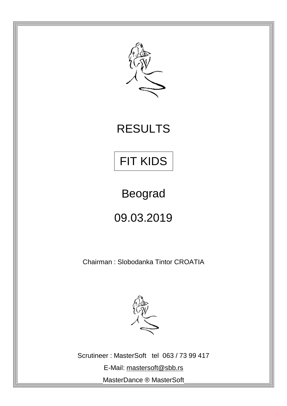

## RESULTS



Beograd

09.03.2019

Chairman : Slobodanka Tintor CROATIA



Scrutineer : MasterSoft tel 063 / 73 99 417 E-Mail: [mastersoft@sbb.rs](mailto:mastersoft@sbb.rs) MasterDance ® MasterSoft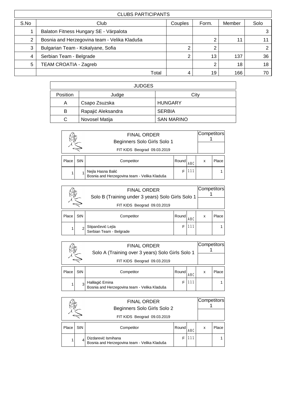|      | <b>CLUBS PARTICIPANTS</b>                    |         |       |        |      |  |  |  |  |  |
|------|----------------------------------------------|---------|-------|--------|------|--|--|--|--|--|
| S.No | Club                                         | Couples | Form. | Member | Solo |  |  |  |  |  |
|      | Balaton Fitness Hungary SE - Várpalota       |         |       |        |      |  |  |  |  |  |
| 2    | Bosnia and Herzegovina team - Velika Kladuša |         | 2     | 11     |      |  |  |  |  |  |
| 3    | Bulgarian Team - Kokalyane, Sofia            |         | 2     |        |      |  |  |  |  |  |
| 4    | Serbian Team - Belgrade                      | ⌒       | 13    | 137    | 36   |  |  |  |  |  |
| 5    | <b>TEAM CROATIA - Zagreb</b>                 |         | 2     | 18     | 18   |  |  |  |  |  |
|      | Total                                        |         | 19    | 166    | 70   |  |  |  |  |  |

|          | <b>JUDGES</b>      |                   |  |  |  |  |  |  |
|----------|--------------------|-------------------|--|--|--|--|--|--|
| Position | Judge              | City              |  |  |  |  |  |  |
| Α        | Csapo Zsuzska      | <b>HUNGARY</b>    |  |  |  |  |  |  |
| B        | Rapajić Aleksandra | <b>SERBIA</b>     |  |  |  |  |  |  |
| C        | Novosel Matija     | <b>SAN MARINO</b> |  |  |  |  |  |  |

|                    |     | <b>FINAL ORDER</b><br>Beginners Solo Girls Solo 1<br>FIT KIDS Beograd 09.03.2019 |       |     |   | Competitors |
|--------------------|-----|----------------------------------------------------------------------------------|-------|-----|---|-------------|
| Place <sup>'</sup> | StN | Competitor                                                                       | Round | ABC | x | Place       |
|                    |     | Nejla Hasna Balić<br>Bosnia and Herzegovina team - Velika Kladuša                |       | 111 |   |             |

|       |                             | <b>FINAL ORDER</b><br>Solo B (Training under 3 years) Solo Girls Solo 1 |       |            |   |       |  |  |
|-------|-----------------------------|-------------------------------------------------------------------------|-------|------------|---|-------|--|--|
|       | FIT KIDS Beograd 09.03.2019 |                                                                         |       |            |   |       |  |  |
| Place | StN                         | Competitor                                                              | Round | <b>ABC</b> | x | Place |  |  |
|       |                             | Stipančević Lejla<br>Serbian Team - Belgrade                            |       | 111        |   |       |  |  |

|       |                                                                        | <b>FINAL ORDER</b><br>Solo A (Training over 3 years) Solo Girls Solo 1 | Competitors |            |   |       |  |
|-------|------------------------------------------------------------------------|------------------------------------------------------------------------|-------------|------------|---|-------|--|
|       | FIT KIDS Beograd 09.03.2019                                            |                                                                        |             |            |   |       |  |
| Place | <b>StN</b>                                                             | Competitor                                                             | Round       | <b>ARC</b> | x | Place |  |
|       | 111<br>Halilagić Emina<br>Bosnia and Herzegovina team - Velika Kladuša |                                                                        |             |            |   |       |  |

|       |                                                                           | <b>FINAL ORDER</b><br>Beginners Solo Girls Solo 2 |       |            | Competitors |       |  |
|-------|---------------------------------------------------------------------------|---------------------------------------------------|-------|------------|-------------|-------|--|
|       | FIT KIDS Beograd 09.03.2019                                               |                                                   |       |            |             |       |  |
| Place | StN                                                                       | Competitor                                        | Round | <b>ABC</b> | x           | Place |  |
|       | Dizdarević Ismihana<br>11<br>Bosnia and Herzegovina team - Velika Kladuša |                                                   |       |            |             |       |  |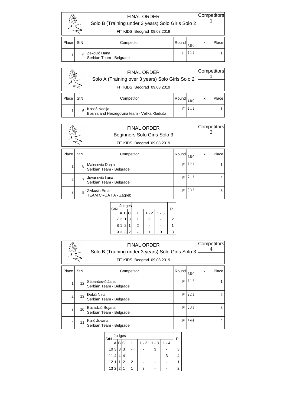|       |                             | <b>FINAL ORDER</b><br>Solo B (Training under 3 years) Solo Girls Solo 2 | Competitors |            |   |       |  |
|-------|-----------------------------|-------------------------------------------------------------------------|-------------|------------|---|-------|--|
|       | FIT KIDS Beograd 09.03.2019 |                                                                         |             |            |   |       |  |
| Place | StN                         | Competitor                                                              | Round       | <b>ABC</b> | x | Place |  |
|       | 5                           | Zeković Hana<br>Serbian Team - Belgrade                                 |             | 111        |   |       |  |

|       |                                                                                 | Competitors                                                   |       |            |   |       |  |
|-------|---------------------------------------------------------------------------------|---------------------------------------------------------------|-------|------------|---|-------|--|
|       | Solo A (Training over 3 years) Solo Girls Solo 2<br>FIT KIDS Beograd 09.03.2019 |                                                               |       |            |   |       |  |
| Place | StN                                                                             | Competitor                                                    | Round | <b>ABC</b> | x | Place |  |
|       | 6                                                                               | Kostić Nadija<br>Bosnia and Herzegovina team - Velika Kladuša |       | 111        |   |       |  |

|                | Competitors<br><b>FINAL ORDER</b><br>Beginners Solo Girls Solo 3<br>FIT KIDS Beograd 09.03.2019 |                                            |       |            |   |       |  |
|----------------|-------------------------------------------------------------------------------------------------|--------------------------------------------|-------|------------|---|-------|--|
| Place          | StN                                                                                             | Competitor                                 | Round | <b>ABC</b> | x | Place |  |
|                | 8                                                                                               | Malesević Dunja<br>Serbian Team - Belgrade | F     | 121        |   |       |  |
| $\overline{2}$ |                                                                                                 | Jovanović Lana<br>Serbian Team - Belgrade  | F     | 213        |   | 2     |  |
| 3              | 9                                                                                               | Zivkusic Ema<br>TEAM CROATIA - Zagreb      | F     | 332        |   | 3     |  |

| StN |   |                | Judges         |   |      |     | P |
|-----|---|----------------|----------------|---|------|-----|---|
|     |   | в              | C              |   | $-2$ | - 3 |   |
|     | 2 |                | 3              |   | 2    |     | 2 |
| 8   |   | $\overline{2}$ |                | 2 |      |     |   |
| g   | 3 | 3              | $\overline{2}$ |   |      | з   | З |
|     |   |                |                |   |      |     |   |

| <b>FINAL ORDER</b><br>Solo B (Training under 3 years) Solo Girls Solo 3<br>FIT KIDS Beograd 09.03.2019 |                 |                                             |   |       |  | ∣Competitors∣ |
|--------------------------------------------------------------------------------------------------------|-----------------|---------------------------------------------|---|-------|--|---------------|
| Place                                                                                                  | <b>StN</b>      | Competitor                                  | x | Place |  |               |
| 1                                                                                                      | 12              | Stipančević Jana<br>Serbian Team - Belgrade | F | 112   |  |               |
| $\overline{2}$                                                                                         | 13              | Đokić Nina<br>Serbian Team - Belgrade       | F | 221   |  | 2             |
| 3                                                                                                      | 10 <sup>1</sup> | Buzadzić Bojana<br>Serbian Team - Belgrade  | F | 333   |  | 3             |
| 4                                                                                                      | 11              | Kulić Jovana<br>Serbian Team - Belgrade     | F | 444   |  | 4             |

| StN         |        |   | Judges |   |      |         |     | Ρ |
|-------------|--------|---|--------|---|------|---------|-----|---|
|             | А      | В | С      |   | $-2$ | $1 - 3$ | - 4 |   |
| $10\vert 3$ |        | 3 | 3      |   |      | 3       |     | 3 |
| 11          | 4      | 4 | Δ      |   |      |         | 3   |   |
| 12          | 1      |   | 2      | 2 |      |         |     |   |
|             | 13 2 2 |   | 1      |   | 3    |         |     | 2 |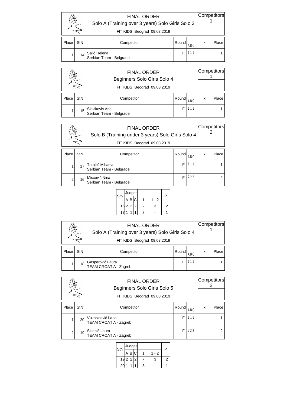|       |                             | Solo A (Training over 3 years) Solo Girls Solo 3 |        | Competitors |   |       |  |
|-------|-----------------------------|--------------------------------------------------|--------|-------------|---|-------|--|
|       | FIT KIDS Beograd 09.03.2019 |                                                  |        |             |   |       |  |
| Place | <b>StN</b>                  | Competitor                                       | Roundl | <b>ABC</b>  | x | Place |  |
|       | 14                          | Salić Helena<br>Serbian Team - Belgrade          |        | 111         |   |       |  |

|       |                 | <b>FINAL ORDER</b><br>Beginners Solo Girls Solo 4 |       |            | Competitors |       |
|-------|-----------------|---------------------------------------------------|-------|------------|-------------|-------|
|       |                 | FIT KIDS Beograd 09.03.2019                       |       |            |             |       |
| Place | <b>StN</b>      | Competitor                                        | Round | <b>ABC</b> | x           | Place |
|       | 15 <sup>1</sup> | Slaviković Ana<br>Serbian Team - Belgrade         |       | 111        |             |       |

|                |            | <b>FINAL ORDER</b><br>Solo B (Training under 3 years) Solo Girls Solo 4<br>FIT KIDS Beograd 09.03.2019 |       |     | Competitors |       |
|----------------|------------|--------------------------------------------------------------------------------------------------------|-------|-----|-------------|-------|
| Place          | <b>StN</b> | Competitor                                                                                             | Round | ABC | x           | Place |
|                | 17         | Turajlić Mihaela<br>Serbian Team - Belgrade                                                            | F     | 111 |             |       |
| $\mathfrak{p}$ | 16         | Miscević Nina<br>Serbian Team - Belgrade                                                               | F     | 222 |             | 2     |

| StN         |  | Judges |   |     | P |
|-------------|--|--------|---|-----|---|
|             |  |        |   | - 2 |   |
| 16 2 2 2    |  |        |   | 3   |   |
| $1^{\circ}$ |  |        | 3 |     |   |

|       |                             | <b>FINAL ORDER</b><br>Solo A (Training over 3 years) Solo Girls Solo 4 |       | Competitors |   |       |  |
|-------|-----------------------------|------------------------------------------------------------------------|-------|-------------|---|-------|--|
|       | FIT KIDS Beograd 09.03.2019 |                                                                        |       |             |   |       |  |
| Place | <b>StN</b>                  | Competitor                                                             | Round | <b>ABC</b>  | x | Place |  |
|       | 18                          | Gasparović Laura<br>TEAM CROATIA - Zagreb                              |       |             |   |       |  |

|                |                 | <b>FINAL ORDER</b><br>Beginners Solo Girls Solo 5<br>FIT KIDS Beograd 09.03.2019 |       |            | Competitors |       |
|----------------|-----------------|----------------------------------------------------------------------------------|-------|------------|-------------|-------|
| Place          | StN             | Competitor                                                                       | Round | <b>ABC</b> | x           | Place |
|                | 20 <sup>1</sup> | Vukasinović Lana<br>TEAM CROATIA - Zagreb                                        | F     | 111        |             |       |
| $\overline{2}$ | 19              | Sklepić Laura<br>TEAM CROATIA - Zagreb                                           | F     | 222        |             | 2     |

| StN      | Judges |   |     | P |  |
|----------|--------|---|-----|---|--|
|          | 'B C   |   | - 2 |   |  |
| 19 2 2 2 |        |   | 3   |   |  |
| 20       |        | ว |     |   |  |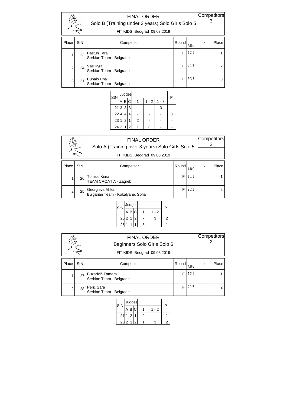|                | Competitors<br><b>FINAL ORDER</b><br>Solo B (Training under 3 years) Solo Girls Solo 5<br>FIT KIDS Beograd 09.03.2019 |                                              |       |            |   |       |  |
|----------------|-----------------------------------------------------------------------------------------------------------------------|----------------------------------------------|-------|------------|---|-------|--|
| Place          | StN                                                                                                                   | Competitor                                   | Round | <b>ABC</b> | x | Place |  |
| 1              | 23                                                                                                                    | Pastuh Tara<br>Serbian Team - Belgrade       | F     | 121        |   |       |  |
| $\overline{2}$ | 24                                                                                                                    | Vas Kyra<br>Serbian Team - Belgrade          | F     | 212        |   | 2     |  |
| 3              | 21                                                                                                                    | <b>Bubalo Una</b><br>Serbian Team - Belgrade | F     | 333        |   | 3     |  |

| StN    |                |   | Judges |   |       | P       |   |
|--------|----------------|---|--------|---|-------|---------|---|
|        |                | В | C      |   | 1 - 2 | $1 - 3$ |   |
| 21 3 3 |                |   | 3      |   |       | 3       |   |
| 22     | 4              | 4 |        |   |       |         | 3 |
| 23     | 1 <sup>1</sup> | 2 |        | 2 |       |         |   |
| 24     | $\overline{2}$ |   | 2      |   | 3     |         |   |
|        |                |   |        |   |       |         |   |

|                | Competitors<br><b>FINAL ORDER</b><br>Solo A (Training over 3 years) Solo Girls Solo 5<br>FIT KIDS Beograd 09.03.2019 |                                                      |   |       |  |   |  |  |  |
|----------------|----------------------------------------------------------------------------------------------------------------------|------------------------------------------------------|---|-------|--|---|--|--|--|
|                |                                                                                                                      |                                                      |   |       |  |   |  |  |  |
| Place          | <b>StN</b>                                                                                                           | Competitor                                           | x | Place |  |   |  |  |  |
|                | 26                                                                                                                   | Tomsic Kiara<br>TEAM CROATIA - Zagreb                | F | 111   |  |   |  |  |  |
| $\overline{2}$ | 25                                                                                                                   | Georgieva Milka<br>Bulgarian Team - Kokalyane, Sofia | F | 222   |  | 2 |  |  |  |

| StN      |   | Judges |  |  |     |   |  |
|----------|---|--------|--|--|-----|---|--|
|          |   | .∣B∣C  |  |  | - 2 | P |  |
| 25 2 2 2 |   |        |  |  | З   | 2 |  |
| 26       | 4 |        |  |  |     |   |  |

|       |     | <b>FINAL ORDER</b><br>Beginners Solo Girls Solo 6<br>FIT KIDS Beograd 09.03.2019 |   |       | Competitors |                |
|-------|-----|----------------------------------------------------------------------------------|---|-------|-------------|----------------|
| Place | StN | Competitor                                                                       | x | Place |             |                |
|       | 27  | Buzadzić Tamara<br>Serbian Team - Belgrade                                       | F | 121   |             |                |
| 2     | 28  | Perić Sara<br>Serbian Team - Belgrade                                            | F | 212   |             | $\overline{2}$ |

| StN    | Judges |                |   | P   |  |  |
|--------|--------|----------------|---|-----|--|--|
|        | R      |                |   | - 2 |  |  |
| 27     | 2      |                | 2 |     |  |  |
| 28 2 1 |        | $\mathfrak{p}$ |   |     |  |  |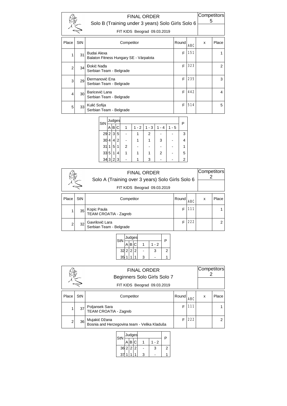|                |                 | <b>FINAL ORDER</b><br>Solo B (Training under 3 years) Solo Girls Solo 6<br>FIT KIDS Beograd 09.03.2019 |                     |     |       | Competitors<br>5 |  |
|----------------|-----------------|--------------------------------------------------------------------------------------------------------|---------------------|-----|-------|------------------|--|
| Place          | StN             | Competitor                                                                                             | Round<br><b>ABC</b> | x   | Place |                  |  |
| 1              | 31              | Budai Alexa<br>Balaton Fitness Hungary SE - Várpalota                                                  | F                   | 151 |       |                  |  |
| $\overline{2}$ | 34              | Đokić Nađa<br>Serbian Team - Belgrade                                                                  | F                   | 323 |       | 2                |  |
| 3              | 29              | Đermanović Ena<br>Serbian Team - Belgrade                                                              | F                   | 235 |       | 3                |  |
| 4              | 30 <sup>1</sup> | Baricević Lana<br>Serbian Team - Belgrade                                                              | F                   | 442 |       | 4                |  |
| 5              | 33 <sup>1</sup> | Kulić Sofija<br>Serbian Team - Belgrade                                                                | F                   | 514 |       | 5                |  |

| StN  |              | Judges |   |   |         | Р         |   |         |   |
|------|--------------|--------|---|---|---------|-----------|---|---------|---|
|      | А            | В      | С |   | $1 - 2$ | - 3<br>1. | 4 | $1 - 5$ |   |
| 29   | 2            | 3      | 5 |   |         | 2         |   |         | 3 |
| 30   | 4            | 4      | 2 |   |         |           | 3 |         |   |
| 31   | $\mathbf{1}$ | 5      | 1 | 2 |         |           |   |         |   |
| 33   | 5            | 1      | 4 |   |         |           | 2 |         | 5 |
| 34 3 |              | 2      | 3 |   |         | 3         |   |         | 2 |

|                | Competitors<br><b>FINAL ORDER</b><br>Solo A (Training over 3 years) Solo Girls Solo 6<br>FIT KIDS Beograd 09.03.2019 |                                            |   |       |  |   |  |
|----------------|----------------------------------------------------------------------------------------------------------------------|--------------------------------------------|---|-------|--|---|--|
| Place          | <b>StN</b>                                                                                                           | Competitor                                 | x | Place |  |   |  |
|                | $35$                                                                                                                 | Kopic Paula<br>TEAM CROATIA - Zagreb       | F | 111   |  |   |  |
| $\overline{2}$ | 32                                                                                                                   | Gavrilović Lara<br>Serbian Team - Belgrade | F | 222   |  | 2 |  |



|       | Competitors<br><b>FINAL ORDER</b><br>Beginners Solo Girls Solo 7<br>FIT KIDS Beograd 09.03.2019 |                                                               |       |            |   |       |  |  |
|-------|-------------------------------------------------------------------------------------------------|---------------------------------------------------------------|-------|------------|---|-------|--|--|
| Place | StN                                                                                             | Competitor                                                    | Round | <b>ABC</b> | x | Place |  |  |
|       | 37                                                                                              | Poljansek Sara<br><b>TEAM CROATIA - Zagreb</b>                | F     | 111        |   |       |  |  |
| 2     | 36 <sup>2</sup>                                                                                 | Mujakić Džana<br>Bosnia and Herzegovina team - Velika Kladuša | F     | 222        |   | 2     |  |  |

|  | StN    | Judges |                |  | P   |   |  |
|--|--------|--------|----------------|--|-----|---|--|
|  |        |        |                |  | - 2 |   |  |
|  | 36 2 2 |        | $\overline{2}$ |  | 3   | 2 |  |
|  | З      |        |                |  |     |   |  |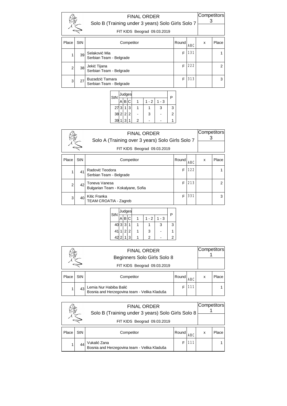|                | Competitors |                                            |       |            |   |                |
|----------------|-------------|--------------------------------------------|-------|------------|---|----------------|
| Place          | StN         | Competitor                                 | Round | <b>ABC</b> | x | Place          |
|                | 39          | Selaković Mia<br>Serbian Team - Belgrade   | F     | 131        |   |                |
| $\overline{2}$ | 38          | Jekić Tijana<br>Serbian Team - Belgrade    | F     | 222        |   | $\overline{2}$ |
| 3              | 27          | Buzadzić Tamara<br>Serbian Team - Belgrade | F     | 313        |   | 3              |

| StN      |   | Judges |   |         |     | P |  |  |  |  |
|----------|---|--------|---|---------|-----|---|--|--|--|--|
|          | R |        |   | $1 - 2$ | - 3 |   |  |  |  |  |
| 273      |   | 3      |   |         | 3   | 3 |  |  |  |  |
| 38 2 2 2 |   |        |   | 3       |     | 2 |  |  |  |  |
| 39       | ว |        | 2 |         |     |   |  |  |  |  |
|          |   |        |   |         |     |   |  |  |  |  |

|                |            | <b>FINAL ORDER</b><br>Solo A (Training over 3 years) Solo Girls Solo 7 |       |            |   | Competitors |  |
|----------------|------------|------------------------------------------------------------------------|-------|------------|---|-------------|--|
|                |            | FIT KIDS Beograd 09.03.2019                                            |       |            |   |             |  |
|                |            |                                                                        |       |            |   |             |  |
| Place          | <b>StN</b> | Competitor                                                             | Round | <b>ABC</b> | x | Place       |  |
|                | 41         | Radović Teodora<br>Serbian Team - Belgrade                             | F     | 122        |   |             |  |
| $\overline{2}$ | 42         | Toneva Vanesa<br>Bulgarian Team - Kokalyane, Sofia                     | F     | 213        |   | 2           |  |
| 3              | 40         | Kitic Franka<br><b>TEAM CROATIA - Zagreb</b>                           | F     | 331        |   | 3           |  |

|                        |        |       |              | P   |   |  |  |
|------------------------|--------|-------|--------------|-----|---|--|--|
| B                      |        |       | $1 - 2$      | - 3 |   |  |  |
|                        |        |       |              | 3   | 3 |  |  |
|                        |        |       | 3            |     |   |  |  |
| 1                      | ς      |       | 2            |     |   |  |  |
| 41<br>$42\overline{2}$ | 40 3 3 | 1 2 2 | Judges<br>C. |     |   |  |  |

|       | Competitors<br><b>FINAL ORDER</b><br>Beginners Solo Girls Solo 8<br>FIT KIDS Beograd 09.03.2019 |                                                                        |       |     |   |       |  |
|-------|-------------------------------------------------------------------------------------------------|------------------------------------------------------------------------|-------|-----|---|-------|--|
|       |                                                                                                 |                                                                        |       |     |   |       |  |
| Place | <b>StN</b>                                                                                      | Competitor                                                             | Round | ABC | x | Place |  |
|       | 43                                                                                              | Lemia Nur Habiba Balić<br>Bosnia and Herzegovina team - Velika Kladuša |       |     |   |       |  |

|       | Competitors<br><b>FINAL ORDER</b><br>Solo B (Training under 3 years) Solo Girls Solo 8 |                                                              |        |     |   |       |  |
|-------|----------------------------------------------------------------------------------------|--------------------------------------------------------------|--------|-----|---|-------|--|
|       |                                                                                        |                                                              |        |     |   |       |  |
| Place | StN                                                                                    | Competitor                                                   | Roundl | ABC | x | Place |  |
|       | 44                                                                                     | Vukalić Zana<br>Bosnia and Herzegovina team - Velika Kladuša |        |     |   |       |  |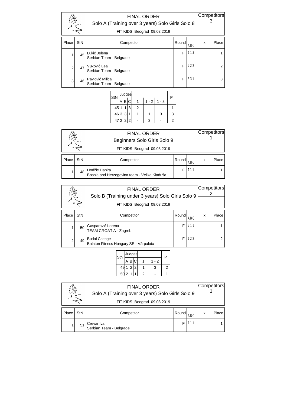|                | <b>FINAL ORDER</b><br>Solo A (Training over 3 years) Solo Girls Solo 8<br>FIT KIDS Beograd 09.03.2019 |                                            |        |            | Competitors |                |
|----------------|-------------------------------------------------------------------------------------------------------|--------------------------------------------|--------|------------|-------------|----------------|
| Place          | StN                                                                                                   | Competitor                                 | Roundl | <b>ABC</b> | x           | Place          |
|                | 45                                                                                                    | Lukić Jelena<br>Serbian Team - Belgrade    | F      | 113        |             |                |
| $\overline{2}$ | 47                                                                                                    | Vuković Lea<br>Serbian Team - Belgrade     | F      | 222        |             | $\overline{2}$ |
| 3              | 46                                                                                                    | Pavlović Milica<br>Serbian Team - Belgrade | F      | 331        |             | 3              |

| StN      |   | Judges |   |       |      | P |
|----------|---|--------|---|-------|------|---|
|          | В |        |   | 1 - 2 | $-3$ |   |
| 45       |   | 3      | 2 |       |      |   |
| 46 3 3   |   |        |   |       | 3    | 3 |
| 47 2 2 2 |   |        |   | З     |      |   |

|       |            | <b>FINAL ORDER</b><br>Beginners Solo Girls Solo 9             |       |            | Competitors |       |
|-------|------------|---------------------------------------------------------------|-------|------------|-------------|-------|
|       |            | FIT KIDS Beograd 09.03.2019                                   |       |            |             |       |
| Place | <b>StN</b> | Competitor                                                    | Round | <b>ABC</b> | x           | Place |
|       | 48         | Hodžić Danira<br>Bosnia and Herzegovina team - Velika Kladuša |       | $111 -$    |             |       |

| <b>FINAL ORDER</b><br>Solo B (Training under 3 years) Solo Girls Solo 9<br>FIT KIDS Beograd 09.03.2019 |                 |                                                               |       | Competitors |   |       |
|--------------------------------------------------------------------------------------------------------|-----------------|---------------------------------------------------------------|-------|-------------|---|-------|
| Place                                                                                                  | StN             | Competitor                                                    | Round | ABC         | x | Place |
|                                                                                                        | 50 <sup>1</sup> | Gasparović Lorena<br>TEAM CROATIA - Zagreb                    | F     | 211         |   |       |
| 2                                                                                                      | 49              | <b>Budai Csenge</b><br>Balaton Fitness Hungary SE - Várpalota | F     | 122         |   | 2     |



| <b>FINAL ORDER</b><br>Solo A (Training over 3 years) Solo Girls Solo 9 |            |                                       |       |     | Competitors |       |
|------------------------------------------------------------------------|------------|---------------------------------------|-------|-----|-------------|-------|
| FIT KIDS Beograd 09.03.2019                                            |            |                                       |       |     |             |       |
| Place                                                                  | <b>StN</b> | Competitor                            | Round | ABC | x           | Place |
|                                                                        | 51         | Crevar Iva<br>Serbian Team - Belgrade |       | 111 |             |       |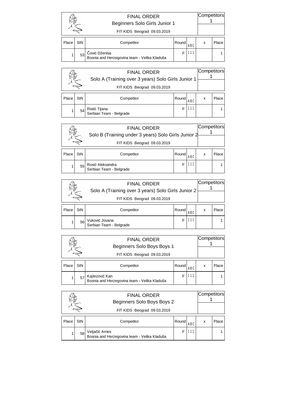|       |     | <b>FINAL ORDER</b><br>Beginners Solo Girls Junior 1<br>FIT KIDS Beograd 09.03.2019 |        |            | Competitors |       |
|-------|-----|------------------------------------------------------------------------------------|--------|------------|-------------|-------|
| Place | StN | Competitor                                                                         | Roundl | <b>ABC</b> | x           | Place |
|       | 53  | Čović Dženisa<br>Bosnia and Herzegovina team - Velika Kladuša                      |        | l 11       |             |       |

|       |     | <b>FINAL ORDER</b><br>Solo A (Training over 3 years) Solo Girls Junior 1<br>FIT KIDS Beograd 09.03.2019 |       |            | Competitors |       |
|-------|-----|---------------------------------------------------------------------------------------------------------|-------|------------|-------------|-------|
| Place | StN | Competitor                                                                                              | Round | <b>ABC</b> | x           | Place |
|       | 54  | Ristić Tijana<br>Serbian Team - Belgrade                                                                |       | 111        |             |       |

| <b>FINAL ORDER</b><br>Solo B (Training under 3 years) Solo Girls Junior 2 |     |                                             |       |            | Competitors |       |
|---------------------------------------------------------------------------|-----|---------------------------------------------|-------|------------|-------------|-------|
|                                                                           |     | FIT KIDS Beograd 09.03.2019                 |       |            |             |       |
| Place                                                                     | StN | Competitor                                  | Round | <b>ARC</b> | X           | Place |
|                                                                           | 55  | Rosić Aleksandra<br>Serbian Team - Belgrade |       | 111        |             |       |

| <b>FINAL ORDER</b><br>Solo A (Training over 3 years) Solo Girls Junior 2 |                             |                                           |       |     | Competitors |       |
|--------------------------------------------------------------------------|-----------------------------|-------------------------------------------|-------|-----|-------------|-------|
|                                                                          | FIT KIDS Beograd 09.03.2019 |                                           |       |     |             |       |
| Place                                                                    | StN                         | Competitor                                | Round | ABC | x           | Place |
|                                                                          | 56                          | Vuković Jovana<br>Serbian Team - Belgrade |       |     |             |       |

| <b>FINAL ORDER</b><br>Beginners Solo Boys Boys 1 |     |                                                                | Competitors |     |   |       |
|--------------------------------------------------|-----|----------------------------------------------------------------|-------------|-----|---|-------|
|                                                  |     | FIT KIDS Beograd 09.03.2019                                    |             |     |   |       |
| Place                                            | StN | Competitor                                                     | Round       | ABC | x | Place |
|                                                  | 57  | Kajtezović Kan<br>Bosnia and Herzegovina team - Velika Kladuša |             |     |   |       |

|       | <b>FINAL ORDER</b><br>Beginners Solo Boys Boys 2 |                                                                | Competitors |            |   |       |
|-------|--------------------------------------------------|----------------------------------------------------------------|-------------|------------|---|-------|
|       | FIT KIDS Beograd 09.03.2019                      |                                                                |             |            |   |       |
| Place | StN                                              | Competitor                                                     | Round       | <b>ABC</b> | x | Place |
|       | 58                                               | Veljačić Arnes<br>Bosnia and Herzegovina team - Velika Kladuša |             |            |   |       |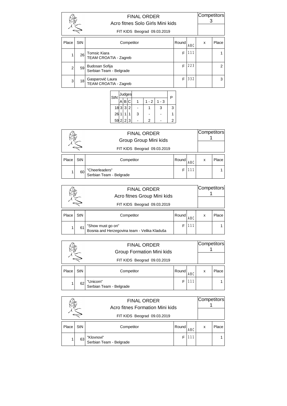|                | <b>FINAL ORDER</b><br>Acro fitnes Solo Girls Mini kids<br>FIT KIDS Beograd 09.03.2019 |                                                     | Competitors |            |   |                |
|----------------|---------------------------------------------------------------------------------------|-----------------------------------------------------|-------------|------------|---|----------------|
| Place          | StN                                                                                   | Competitor                                          | Round       | <b>ABC</b> | x | Place          |
|                | 26                                                                                    | <b>Tomsic Kiara</b><br><b>TEAM CROATIA - Zagreb</b> | F           | 111        |   |                |
| $\overline{2}$ | 59                                                                                    | Budosan Sofija<br>Serbian Team - Belgrade           | F           | 223        |   | $\overline{2}$ |
| 3              | 18                                                                                    | Gasparović Laura<br><b>TEAM CROATIA - Zagreb</b>    | F           | 332        |   | 3              |

| StN      |   | Judges |   |     |     | P |
|----------|---|--------|---|-----|-----|---|
|          | B |        |   | - 2 | - 3 |   |
| 18 3 3   |   | 2      |   |     | 3   | 3 |
| $26$ 1   |   |        | 3 |     |     |   |
| 59 2 2 3 |   |        |   | 2   |     | 2 |
|          |   |        |   |     |     |   |

|       |     | <b>FINAL ORDER</b><br>Group Group Mini kids<br>FIT KIDS Beograd 09.03.2019 |       |            | Competitors |       |
|-------|-----|----------------------------------------------------------------------------|-------|------------|-------------|-------|
| Place | StN | Competitor                                                                 | Round | <b>ABC</b> | X           | Place |
|       | 60  | "Cheerleaders"<br>Serbian Team - Belgrade                                  |       | 111        |             |       |

|       | <b>FINAL ORDER</b><br>Acro fitnes Group Mini kids<br>FIT KIDS Beograd 09.03.2019 |                                                                   |       |     | Competitors |       |
|-------|----------------------------------------------------------------------------------|-------------------------------------------------------------------|-------|-----|-------------|-------|
| Place | StN                                                                              | Competitor                                                        | Round | ABC | x           | Place |
|       | 61                                                                               | "Show must go on"<br>Bosnia and Herzegovina team - Velika Kladuša |       | 111 |             |       |

|       |     | <b>FINAL ORDER</b><br>Group Formation Mini kids | Competitors |            |   |       |  |
|-------|-----|-------------------------------------------------|-------------|------------|---|-------|--|
|       |     | FIT KIDS Beograd 09.03.2019                     |             |            |   |       |  |
| Place | StN | Competitor                                      | Round       | <b>ABC</b> | x | Place |  |
|       | 62  | "Unicorn"<br>Serbian Team - Belgrade            |             | 111        |   |       |  |

|       |                             | <b>FINAL ORDER</b><br>Acro fitnes Formation Mini kids | Competitors |            |   |       |  |
|-------|-----------------------------|-------------------------------------------------------|-------------|------------|---|-------|--|
|       | FIT KIDS Beograd 09.03.2019 |                                                       |             |            |   |       |  |
| Place | StN                         | Competitor                                            | Round       | <b>ABC</b> | x | Place |  |
|       | 63                          | "Klovnovi"<br>Serbian Team - Belgrade                 |             | 111        |   |       |  |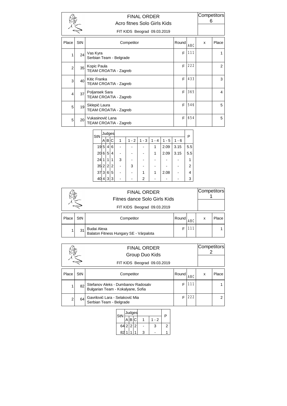|                         |                 | <b>FINAL ORDER</b><br>Acro fitnes Solo Girls Kids<br>FIT KIDS Beograd 09.03.2019 |       |            | Competitors<br>6 |                |
|-------------------------|-----------------|----------------------------------------------------------------------------------|-------|------------|------------------|----------------|
| Place                   | StN             | Competitor                                                                       | Round | <b>ARC</b> | x                | Place          |
| 1                       | 24              | Vas Kyra<br>Serbian Team - Belgrade                                              | F     | 111        |                  | 1              |
| $\overline{2}$          | $35$            | Kopic Paula<br>TEAM CROATIA - Zagreb                                             | F     | 222        |                  | $\overline{2}$ |
| 3                       | 40 <sup>1</sup> | Kitic Franka<br>TEAM CROATIA - Zagreb                                            | F     | 433        |                  | 3              |
| $\overline{\mathbf{4}}$ | 37              | Poljansek Sara<br>TEAM CROATIA - Zagreb                                          | F     | 365        |                  | 4              |
| 5                       | 19              | Sklepić Laura<br>TEAM CROATIA - Zagreb                                           | E     | 546        |                  | 5              |
| 5                       | 20 <sup>1</sup> | Vukasinović Lana<br>TEAM CROATIA - Zagreb                                        | F     | 654        |                  | 5              |

| StN    | Judges |   |   |   |         |         |       |         |         |     |  |  |
|--------|--------|---|---|---|---------|---------|-------|---------|---------|-----|--|--|
|        | Α      | B | C |   | $1 - 2$ | $1 - 3$ | 1 - 4 | $1 - 5$ | $1 - 6$ | Р   |  |  |
| 19     | 5      | 4 | 6 |   |         |         |       | 2.09    | 3.15    | 5.5 |  |  |
| 20     | 6      | 5 | 4 |   |         |         |       | 2.09    | 3.15    | 5.5 |  |  |
| 24     | 1      | 1 | 1 | 3 |         |         |       |         |         |     |  |  |
| 35 2 2 |        |   | 2 |   | 3       |         |       |         |         | 2   |  |  |
| 37     | 3      | 6 | 5 |   |         |         |       | 2.08    |         |     |  |  |
| 40     | 4      | 3 | 3 |   |         | 2       |       |         |         | 3   |  |  |

|       | <b>FINAL ORDER</b><br>Fitnes dance Solo Girls Kids<br>FIT KIDS Beograd 09.03.2019 |                                                       |       |     |   | Competitors |
|-------|-----------------------------------------------------------------------------------|-------------------------------------------------------|-------|-----|---|-------------|
| Place | StN                                                                               | Competitor                                            | Round | ABC | x | Place       |
|       | 31                                                                                | Budai Alexa<br>Balaton Fitness Hungary SE - Várpalota |       |     |   |             |

|       |     | <b>FINAL ORDER</b><br>Group Duo Kids<br>FIT KIDS Beograd 09.03.2019     |        |            | Competitors |       |
|-------|-----|-------------------------------------------------------------------------|--------|------------|-------------|-------|
| Place | StN | Competitor                                                              | Roundl | <b>ABC</b> | x           | Place |
|       | 82  | Stefanov Aleks - Dumbanov Radosalv<br>Bulgarian Team - Kokalyane, Sofia |        | 111        |             |       |
| 2     | 64  | Gavrilović Lara - Selaković Mia<br>Serbian Team - Belgrade              |        | 222        |             |       |

| StN   |  |   | Judges |   |     | P |  |
|-------|--|---|--------|---|-----|---|--|
|       |  | B |        |   | - 2 |   |  |
| 64222 |  |   |        |   | 3   | 2 |  |
| 82    |  |   |        | 3 |     |   |  |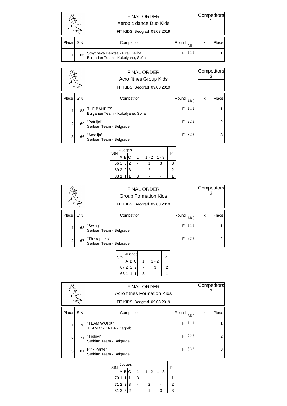|       |     | <b>FINAL ORDER</b><br>Aerobic dance Duo Kids<br>FIT KIDS Beograd 09.03.2019 |       |            | Competitors |       |
|-------|-----|-----------------------------------------------------------------------------|-------|------------|-------------|-------|
| Place | StN | Competitor                                                                  | Round | <b>ABC</b> | x           | Place |
|       | 65  | Stoycheva Denitsa - Pirali Zeliha<br>Bulgarian Team - Kokalyane, Sofia      |       |            |             |       |

|                | <b>FINAL ORDER</b><br>Acro fitnes Group Kids<br>FIT KIDS Beograd 09.03.2019 |                                                  |       |            |   |       |
|----------------|-----------------------------------------------------------------------------|--------------------------------------------------|-------|------------|---|-------|
| Place          | <b>StN</b>                                                                  | Competitor                                       | Round | <b>ABC</b> | x | Place |
|                | 83                                                                          | THE BANDITS<br>Bulgarian Team - Kokalyane, Sofia | F     | 111        |   |       |
| $\overline{2}$ | 69                                                                          | "Patuljci"<br>Serbian Team - Belgrade            | F     | 223        |   | 2     |
| 3              | 66                                                                          | "Amelija"<br>Serbian Team - Belgrade             | F     | 332        |   | 3     |

| StN      |   | Judges         |   |       |      | P |
|----------|---|----------------|---|-------|------|---|
|          | R |                |   | 1 - 2 | $-3$ |   |
| 66 3 3   |   | $\overline{2}$ |   |       | 3    | 3 |
| 69 2 2 3 |   |                |   | 2     |      | 2 |
| 83       |   |                | З |       |      |   |

|                | <b>FINAL ORDER</b><br><b>Group Formation Kids</b><br>FIT KIDS Beograd 09.03.2019 |                                          |       |            | Competitors |       |
|----------------|----------------------------------------------------------------------------------|------------------------------------------|-------|------------|-------------|-------|
| Place          | <b>StN</b>                                                                       | Competitor                               | Round | <b>ABC</b> | x           | Place |
|                | 68                                                                               | "Swing"<br>Serbian Team - Belgrade       | F     | 111        |             |       |
| $\overline{2}$ | 67                                                                               | "The rappers"<br>Serbian Team - Belgrade | F     | 222        |             | 2     |



|                | <b>FINAL ORDER</b><br>Acro fitnes Formation Kids<br>FIT KIDS Beograd 09.03.2019 |                                                |       |            |   |                |  |
|----------------|---------------------------------------------------------------------------------|------------------------------------------------|-------|------------|---|----------------|--|
| Place          | StN                                                                             | Competitor                                     | Round | <b>ABC</b> | x | Place          |  |
|                | 70                                                                              | "TEAM WORK"<br>TEAM CROATIA - Zagreb           | F     | <b>111</b> |   |                |  |
| $\overline{2}$ | 71                                                                              | "Trolovi"<br>Serbian Team - Belgrade           | F     | 223        |   | $\overline{2}$ |  |
| 3              | 81                                                                              | <b>Pink Panteri</b><br>Serbian Team - Belgrade | F     | 332        |   | 3              |  |

| StN      |   |       | Judges |   |                |     | P |
|----------|---|-------|--------|---|----------------|-----|---|
|          |   | B     | C      |   | $1 - 2$        | - 3 |   |
| 70       | 1 |       |        | 3 |                |     |   |
| 71 2 2 3 |   |       |        |   | $\overline{2}$ |     | 2 |
| 81       |   | 3 3 2 |        |   |                |     |   |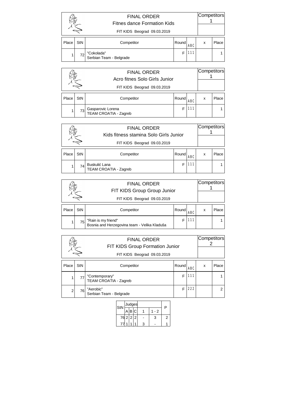|       |            | <b>FINAL ORDER</b><br>Fitnes dance Formation Kids<br>FIT KIDS Beograd 09.03.2019 |       |            | Competitors |       |
|-------|------------|----------------------------------------------------------------------------------|-------|------------|-------------|-------|
| Place | <b>StN</b> | Competitor                                                                       | Round | <b>ABC</b> | x           | Place |
|       | 721        | "Cokolada"<br>Serbian Team - Belgrade                                            |       |            |             |       |

|       |     | <b>FINAL ORDER</b><br>Acro fitnes Solo Girls Junior<br>FIT KIDS Beograd 09.03.2019 |       |            | Competitors |       |
|-------|-----|------------------------------------------------------------------------------------|-------|------------|-------------|-------|
| Place | StN | Competitor                                                                         | Round | <b>ARC</b> | x           | Place |
|       | 73  | Gasparovic Lorena<br>TEAM CROATIA - Zagreb                                         |       | 111        |             |       |

|       |                             | <b>FINAL ORDER</b><br>Kids fitness stamina Solo Girls Junior |       |            |   |       |
|-------|-----------------------------|--------------------------------------------------------------|-------|------------|---|-------|
|       | FIT KIDS Beograd 09.03.2019 |                                                              |       |            |   |       |
| Place | StN                         | Competitor                                                   | Round | <b>ABC</b> | x | Place |
|       | 74                          | Buskulić Lana<br>TEAM CROATIA - Zagreb                       |       | 111        |   |       |

|                             |            | <b>FINAL ORDER</b><br>FIT KIDS Group Group Junior                   |       |            | Competitors |       |
|-----------------------------|------------|---------------------------------------------------------------------|-------|------------|-------------|-------|
| FIT KIDS Beograd 09.03.2019 |            |                                                                     |       |            |             |       |
| Place                       | <b>StN</b> | Competitor                                                          | Round | <b>ABC</b> | x           | Place |
|                             | 75         | "Rain is my friend"<br>Bosnia and Herzegovina team - Velika Kladuša |       |            |             |       |

|       | Competitors<br><b>FINAL ORDER</b><br>FIT KIDS Group Formation Junior<br>FIT KIDS Beograd 09.03.2019 |                                         |       |            |   |       |
|-------|-----------------------------------------------------------------------------------------------------|-----------------------------------------|-------|------------|---|-------|
| Place | StN                                                                                                 | Competitor                              | Round | <b>ABC</b> | x | Place |
|       | 77                                                                                                  | "Contemporary"<br>TEAM CROATIA - Zagreb | F     | 111        |   |       |
| 2     | 761                                                                                                 | "Aerobic"<br>Serbian Team - Belgrade    | F     | 222        |   | 2     |

| StN      | Judges |  |      | P |  |  |
|----------|--------|--|------|---|--|--|
|          | B C    |  | $-2$ |   |  |  |
| 76 2 2 2 |        |  | 3    | 2 |  |  |
| 77       |        |  |      |   |  |  |